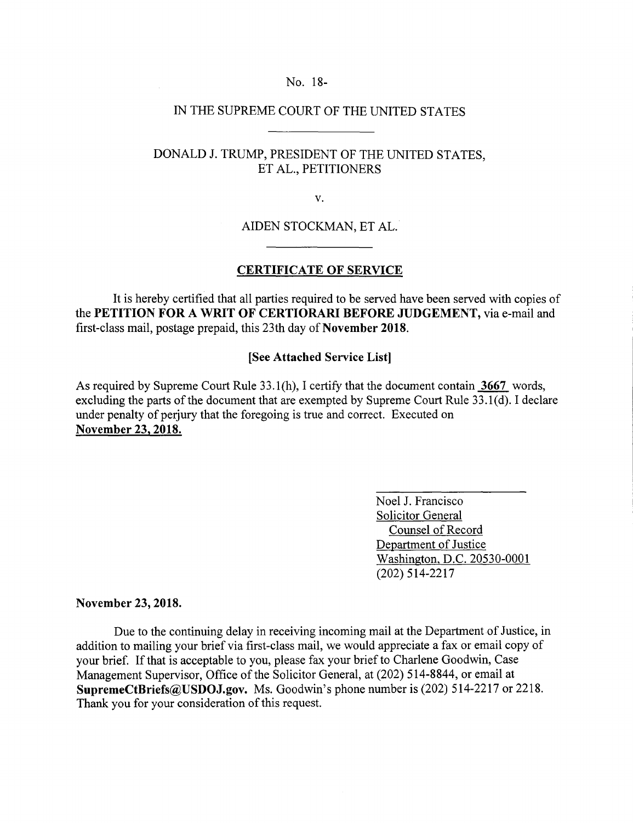### No. 18-

# IN THE SUPREME COURT OF THE UNITED STATES

## DONALD J. TRUMP, PRESIDENT OF THE UNITED STATES, ET AL., PETITIONERS

V.

AlDEN STOCKMAN, ET AL.

### **CERTIFICATE OF SERVICE**

It is hereby certified that all parties required to be served have been served with copies of the **PETITION FOR A WRIT OF CERTIORARI BEFORE JUDGEMENT,** via e-mail and first-class mail, postage prepaid, this 23th day of **November 2018.** 

#### **[See Attached Service List]**

As required by Supreme Court Rule 33.1(h), I certify that the document contain 3667 words, excluding the parts of the document that are exempted by Supreme Court Rule 33.1(d). I declare under penalty of perjury that the foregoing is true and correct. Executed on **November 23, 2018.** 

> Noel J. Francisco Solicitor General Counsel of Record Department of Justice Washington, D.C. 20530-0001 (202) 514-2217

#### **November 23, 2018.**

Due to the continuing delay in receiving incoming mail at the Department of Justice, in addition to mailing your brief via first-class mail, we would appreciate a fax or email copy of your brief. If that is acceptable to you, please fax your brief to Charlene Goodwin, Case Management Supervisor, Office of the Solicitor General, at (202) 514-8844, or email at **SupremeCtBriefs@USDOJ.gov.** Ms. Goodwin's phone number is (202) 514-2217 or 2218. Thank you for your consideration of this request.